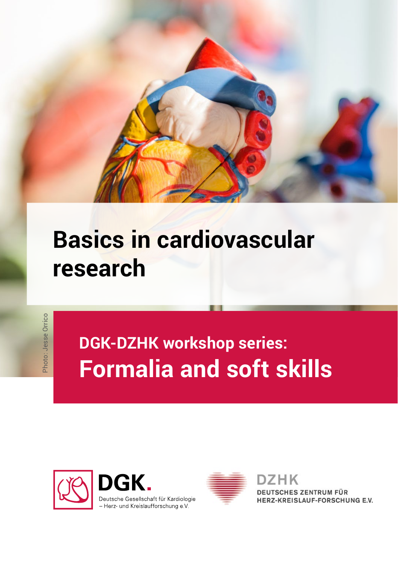

## **Basics in cardiovascular research**

Photo: Jesse Orrico Photo: Jesse Orrico

## **DGK-DZHK workshop series: Formalia and soft skills**





ZHK **DEUTSCHES ZENTRUM FÜR** HERZ-KREISLAUF-FORSCHUNG E.V.